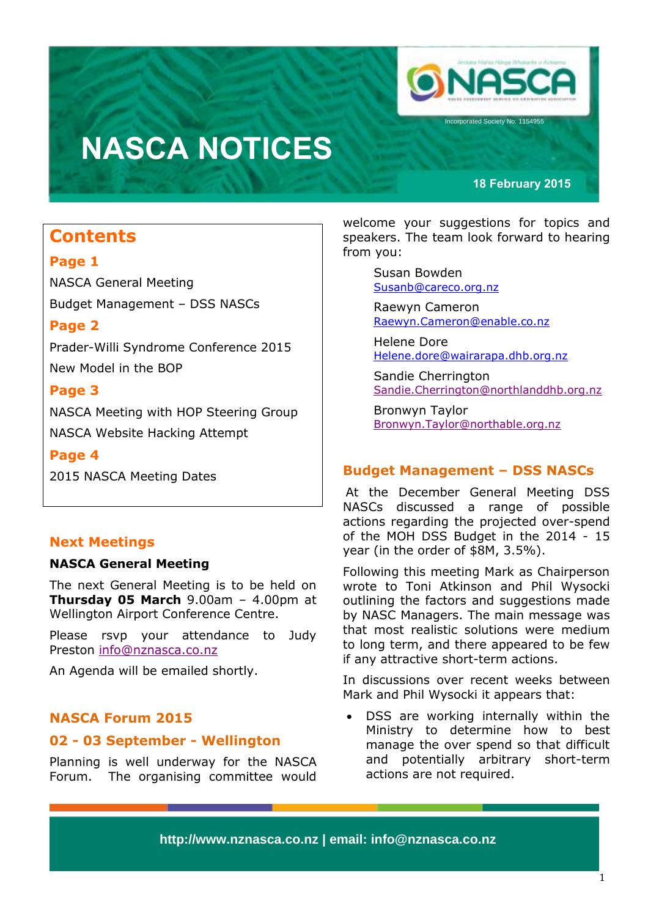

# **NASCA NOTICES**

#### **18 February 2015**

### **Contents**

### **Page 1**

NASCA General Meeting Budget Management – DSS NASCs

### **Page 2**

Prader-Willi Syndrome Conference 2015 New Model in the BOP

### **Page 3**

NASCA Meeting with HOP Steering Group NASCA Website Hacking Attempt

**Page 4**

2015 NASCA Meeting Dates

### **Next Meetings**

#### **NASCA General Meeting**

The next General Meeting is to be held on **Thursday 05 March** 9.00am – 4.00pm at Wellington Airport Conference Centre.

Please rsvp your attendance to Judy Preston [info@nznasca.co.nz](mailto:info@nznasca.co.nz)

An Agenda will be emailed shortly.

### **NASCA Forum 2015**

### **02 - 03 September - Wellington**

Planning is well underway for the NASCA Forum. The organising committee would welcome your suggestions for topics and speakers. The team look forward to hearing from you:

> Susan Bowden [Susanb@careco.org.nz](mailto:Susanb@careco.org.nz)

Raewyn Cameron [Raewyn.Cameron@enable.co.nz](mailto:Raewyn.Cameron@enable.co.nz)

Helene Dore [Helene.dore@wairarapa.dhb.org.nz](mailto:Helene.dore@wairarapa.dhb.org.nz)

Sandie Cherrington [Sandie.Cherrington@northlanddhb.org.nz](mailto:Sandie.Cherrington@northlanddhb.org.nz)

Bronwyn Taylor [Bronwyn.Taylor@northable.org.nz](mailto:Bronwyn.Taylor@northable.org.nz)

### **Budget Management – DSS NASCs**

At the December General Meeting DSS NASCs discussed a range of possible actions regarding the projected over-spend of the MOH DSS Budget in the 2014 - 15 year (in the order of \$8M, 3.5%).

Following this meeting Mark as Chairperson wrote to Toni Atkinson and Phil Wysocki outlining the factors and suggestions made by NASC Managers. The main message was that most realistic solutions were medium to long term, and there appeared to be few if any attractive short-term actions.

In discussions over recent weeks between Mark and Phil Wysocki it appears that:

 DSS are working internally within the Ministry to determine how to best manage the over spend so that difficult and potentially arbitrary short-term actions are not required.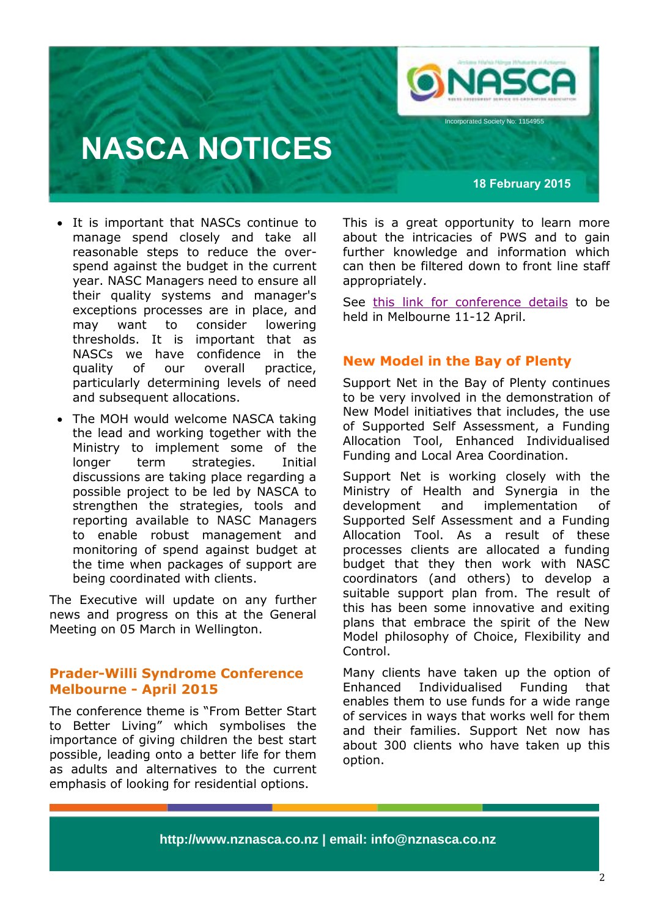

ncorporated Society No: 1154955

## **NASCA NOTICES**

**18 February 2015**

- It is important that NASCs continue to manage spend closely and take all reasonable steps to reduce the overspend against the budget in the current year. NASC Managers need to ensure all their quality systems and manager's exceptions processes are in place, and may want to consider lowering thresholds. It is important that as NASCs we have confidence in the quality of our overall practice, particularly determining levels of need and subsequent allocations.
- The MOH would welcome NASCA taking the lead and working together with the Ministry to implement some of the longer term strategies. Initial discussions are taking place regarding a possible project to be led by NASCA to strengthen the strategies, tools and reporting available to NASC Managers to enable robust management and monitoring of spend against budget at the time when packages of support are being coordinated with clients.

The Executive will update on any further news and progress on this at the General Meeting on 05 March in Wellington.

### **Prader-Willi Syndrome Conference Melbourne - April 2015**

The conference theme is "From Better Start to Better Living" which symbolises the importance of giving children the best start possible, leading onto a better life for them as adults and alternatives to the current emphasis of looking for residential options.

This is a great opportunity to learn more about the intricacies of PWS and to gain further knowledge and information which can then be filtered down to front line staff appropriately.

See [this link for conference details](http://www.pwsconference.org/) to be held in Melbourne 11-12 April.

### **New Model in the Bay of Plenty**

Support Net in the Bay of Plenty continues to be very involved in the demonstration of New Model initiatives that includes, the use of Supported Self Assessment, a Funding Allocation Tool, Enhanced Individualised Funding and Local Area Coordination.

Support Net is working closely with the Ministry of Health and Synergia in the development and implementation of Supported Self Assessment and a Funding Allocation Tool. As a result of these processes clients are allocated a funding budget that they then work with NASC coordinators (and others) to develop a suitable support plan from. The result of this has been some innovative and exiting plans that embrace the spirit of the New Model philosophy of Choice, Flexibility and Control.

Many clients have taken up the option of Enhanced Individualised Funding that enables them to use funds for a wide range of services in ways that works well for them and their families. Support Net now has about 300 clients who have taken up this option.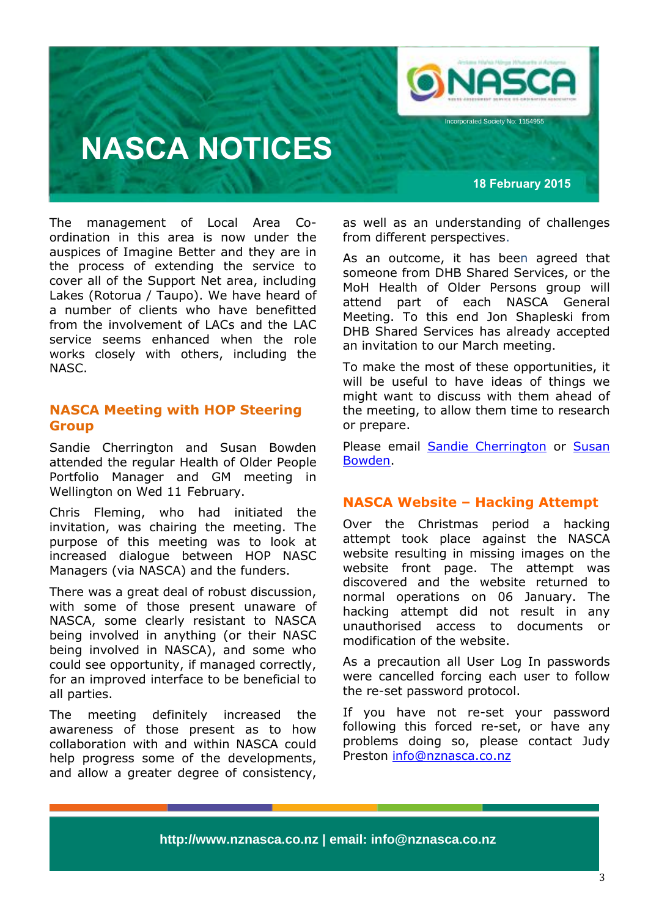

## **NASCA NOTICES**

**18 February 2015**

The management of Local Area Coordination in this area is now under the auspices of Imagine Better and they are in the process of extending the service to cover all of the Support Net area, including Lakes (Rotorua / Taupo). We have heard of a number of clients who have benefitted from the involvement of LACs and the LAC service seems enhanced when the role works closely with others, including the NASC.

### **NASCA Meeting with HOP Steering Group**

Sandie Cherrington and Susan Bowden attended the regular Health of Older People Portfolio Manager and GM meeting in Wellington on Wed 11 February.

Chris Fleming, who had initiated the invitation, was chairing the meeting. The purpose of this meeting was to look at increased dialogue between HOP NASC Managers (via NASCA) and the funders.

There was a great deal of robust discussion, with some of those present unaware of NASCA, some clearly resistant to NASCA being involved in anything (or their NASC being involved in NASCA), and some who could see opportunity, if managed correctly, for an improved interface to be beneficial to all parties.

The meeting definitely increased the awareness of those present as to how collaboration with and within NASCA could help progress some of the developments, and allow a greater degree of consistency,

as well as an understanding of challenges from different perspectives.

As an outcome, it has been agreed that someone from DHB Shared Services, or the MoH Health of Older Persons group will attend part of each NASCA General Meeting. To this end Jon Shapleski from DHB Shared Services has already accepted an invitation to our March meeting.

To make the most of these opportunities, it will be useful to have ideas of things we might want to discuss with them ahead of the meeting, to allow them time to research or prepare.

Please email **[Sandie Cherrington](mailto:Sandie.Cherrington@northlanddhb.org.nz)** or Susan [Bowden.](mailto:Susanb@careco.org.nz)

### **NASCA Website – Hacking Attempt**

Over the Christmas period a hacking attempt took place against the NASCA website resulting in missing images on the website front page. The attempt was discovered and the website returned to normal operations on 06 January. The hacking attempt did not result in any unauthorised access to documents or modification of the website.

As a precaution all User Log In passwords were cancelled forcing each user to follow the re-set password protocol.

If you have not re-set your password following this forced re-set, or have any problems doing so, please contact Judy Preston [info@nznasca.co.nz](mailto:info@nznasca.co.nz)